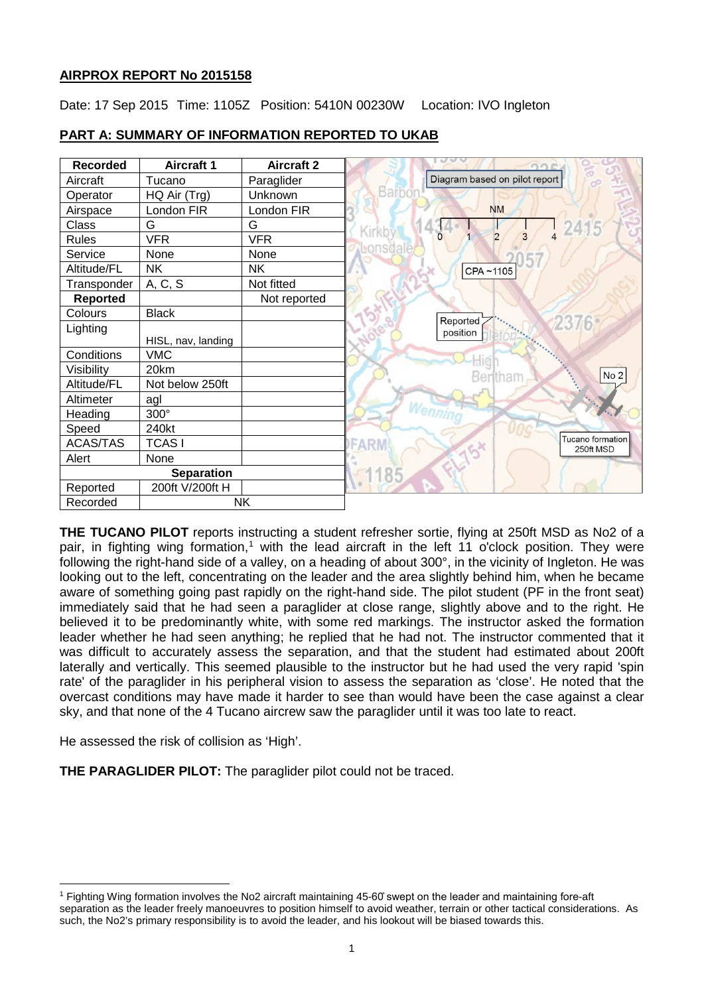# **AIRPROX REPORT No 2015158**

Date: 17 Sep 2015 Time: 1105Z Position: 5410N 00230W Location: IVO Ingleton

| <b>Recorded</b>   | <b>Aircraft 1</b>  | <b>Aircraft 2</b> | $\cup$ $\cup$<br>OOEX         |
|-------------------|--------------------|-------------------|-------------------------------|
| Aircraft          | Tucano             | Paraglider        | Diagram based on pilot report |
| Operator          | HQ Air (Trg)       | Unknown           | Barbon                        |
| Airspace          | London FIR         | London FIR        | <b>NM</b>                     |
| Class             | G                  | G                 | 241<br>Kirkb                  |
| <b>Rules</b>      | <b>VFR</b>         | <b>VFR</b>        | $\overline{2}$                |
| Service           | None               | None              | ensdal                        |
| Altitude/FL       | <b>NK</b>          | <b>NK</b>         | CPA~1105                      |
| Transponder       | A, C, S            | Not fitted        |                               |
| Reported          |                    | Not reported      |                               |
| Colours           | <b>Black</b>       |                   | Reported                      |
| Lighting          |                    |                   | 2376<br>position              |
|                   | HISL, nav, landing |                   |                               |
| Conditions        | <b>VMC</b>         |                   |                               |
| Visibility        | 20km               |                   | No 2                          |
| Altitude/FL       | Not below 250ft    |                   |                               |
| Altimeter         | agl                |                   |                               |
| Heading           | 300°               |                   |                               |
| Speed             | 240kt              |                   |                               |
| <b>ACAS/TAS</b>   | <b>TCASI</b>       |                   | Tucano formation<br>250ft MSD |
| Alert             | None               |                   |                               |
| <b>Separation</b> |                    |                   | 1185                          |
| Reported          | 200ft V/200ft H    |                   |                               |
| Recorded          | <b>NK</b>          |                   |                               |

# **PART A: SUMMARY OF INFORMATION REPORTED TO UKAB**

**THE TUCANO PILOT** reports instructing a student refresher sortie, flying at 250ft MSD as No2 of a pair, in fighting wing formation,<sup>[1](#page-0-0)</sup> with the lead aircraft in the left 11 o'clock position. They were following the right-hand side of a valley, on a heading of about 300°, in the vicinity of Ingleton. He was looking out to the left, concentrating on the leader and the area slightly behind him, when he became aware of something going past rapidly on the right-hand side. The pilot student (PF in the front seat) immediately said that he had seen a paraglider at close range, slightly above and to the right. He believed it to be predominantly white, with some red markings. The instructor asked the formation leader whether he had seen anything; he replied that he had not. The instructor commented that it was difficult to accurately assess the separation, and that the student had estimated about 200ft laterally and vertically. This seemed plausible to the instructor but he had used the very rapid 'spin rate' of the paraglider in his peripheral vision to assess the separation as 'close'. He noted that the overcast conditions may have made it harder to see than would have been the case against a clear sky, and that none of the 4 Tucano aircrew saw the paraglider until it was too late to react.

He assessed the risk of collision as 'High'.

 $\overline{\phantom{a}}$ 

**THE PARAGLIDER PILOT:** The paraglider pilot could not be traced.

<span id="page-0-0"></span><sup>1</sup> Fighting Wing formation involves the No2 aircraft maintaining 45-60̊ swept on the leader and maintaining fore-aft separation as the leader freely manoeuvres to position himself to avoid weather, terrain or other tactical considerations. As such, the No2's primary responsibility is to avoid the leader, and his lookout will be biased towards this.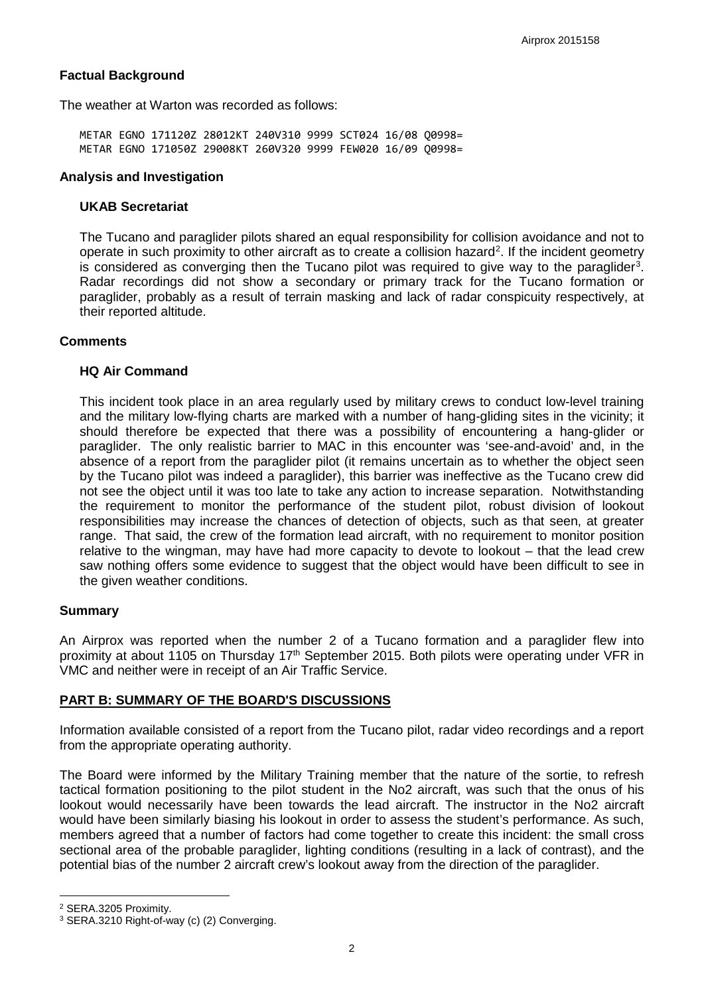# **Factual Background**

The weather at Warton was recorded as follows:

METAR EGNO 171120Z 28012KT 240V310 9999 SCT024 16/08 Q0998= METAR EGNO 171050Z 29008KT 260V320 9999 FEW020 16/09 Q0998=

#### **Analysis and Investigation**

#### **UKAB Secretariat**

The Tucano and paraglider pilots shared an equal responsibility for collision avoidance and not to operate in such proximity to other aircraft as to create a collision hazard<sup>[2](#page-1-0)</sup>. If the incident geometry is considered as converging then the Tucano pilot was required to give way to the paraglider<sup>[3](#page-1-1)</sup>. Radar recordings did not show a secondary or primary track for the Tucano formation or paraglider, probably as a result of terrain masking and lack of radar conspicuity respectively, at their reported altitude.

## **Comments**

#### **HQ Air Command**

This incident took place in an area regularly used by military crews to conduct low-level training and the military low-flying charts are marked with a number of hang-gliding sites in the vicinity; it should therefore be expected that there was a possibility of encountering a hang-glider or paraglider. The only realistic barrier to MAC in this encounter was 'see-and-avoid' and, in the absence of a report from the paraglider pilot (it remains uncertain as to whether the object seen by the Tucano pilot was indeed a paraglider), this barrier was ineffective as the Tucano crew did not see the object until it was too late to take any action to increase separation. Notwithstanding the requirement to monitor the performance of the student pilot, robust division of lookout responsibilities may increase the chances of detection of objects, such as that seen, at greater range. That said, the crew of the formation lead aircraft, with no requirement to monitor position relative to the wingman, may have had more capacity to devote to lookout – that the lead crew saw nothing offers some evidence to suggest that the object would have been difficult to see in the given weather conditions.

## **Summary**

An Airprox was reported when the number 2 of a Tucano formation and a paraglider flew into proximity at about 1105 on Thursday 17<sup>th</sup> September 2015. Both pilots were operating under VFR in VMC and neither were in receipt of an Air Traffic Service.

## **PART B: SUMMARY OF THE BOARD'S DISCUSSIONS**

Information available consisted of a report from the Tucano pilot, radar video recordings and a report from the appropriate operating authority.

The Board were informed by the Military Training member that the nature of the sortie, to refresh tactical formation positioning to the pilot student in the No2 aircraft, was such that the onus of his lookout would necessarily have been towards the lead aircraft. The instructor in the No2 aircraft would have been similarly biasing his lookout in order to assess the student's performance. As such, members agreed that a number of factors had come together to create this incident: the small cross sectional area of the probable paraglider, lighting conditions (resulting in a lack of contrast), and the potential bias of the number 2 aircraft crew's lookout away from the direction of the paraglider.

l

<span id="page-1-0"></span><sup>2</sup> SERA.3205 Proximity.

<span id="page-1-1"></span><sup>3</sup> SERA.3210 Right-of-way (c) (2) Converging.